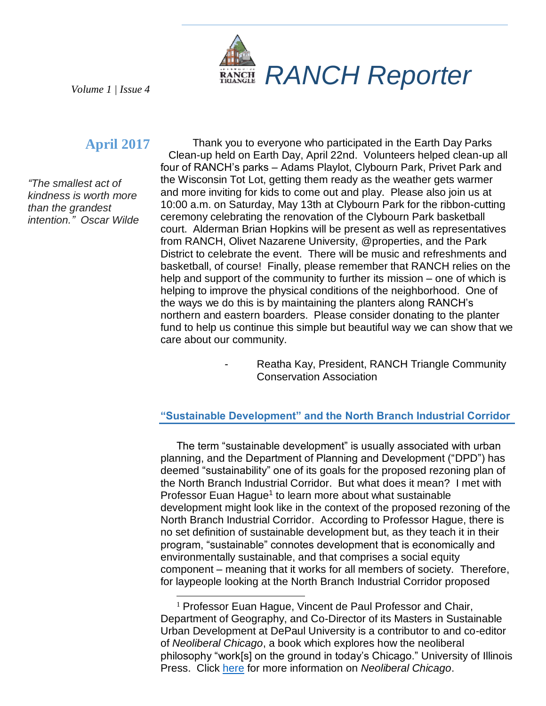

*Volume 1 | Issue 4*

## **April 2017**

*"The smallest act of kindness is worth more than the grandest intention." Oscar Wilde*

Thank you to everyone who participated in the Earth Day Parks Clean-up held on Earth Day, April 22nd. Volunteers helped clean-up all four of RANCH's parks – Adams Playlot, Clybourn Park, Privet Park and the Wisconsin Tot Lot, getting them ready as the weather gets warmer and more inviting for kids to come out and play. Please also join us at 10:00 a.m. on Saturday, May 13th at Clybourn Park for the ribbon-cutting ceremony celebrating the renovation of the Clybourn Park basketball court. Alderman Brian Hopkins will be present as well as representatives from RANCH, Olivet Nazarene University, @properties, and the Park District to celebrate the event. There will be music and refreshments and basketball, of course! Finally, please remember that RANCH relies on the help and support of the community to further its mission – one of which is helping to improve the physical conditions of the neighborhood. One of the ways we do this is by maintaining the planters along RANCH's northern and eastern boarders. Please consider donating to the planter fund to help us continue this simple but beautiful way we can show that we care about our community.

> Reatha Kay, President, RANCH Triangle Community Conservation Association

## **"Sustainable Development" and the North Branch Industrial Corridor**

The term "sustainable development" is usually associated with urban planning, and the Department of Planning and Development ("DPD") has deemed "sustainability" one of its goals for the proposed rezoning plan of the North Branch Industrial Corridor. But what does it mean? I met with Professor Euan Hague<sup>1</sup> to learn more about what sustainable development might look like in the context of the proposed rezoning of the North Branch Industrial Corridor. According to Professor Hague, there is no set definition of sustainable development but, as they teach it in their program, "sustainable" connotes development that is economically and environmentally sustainable, and that comprises a social equity component – meaning that it works for all members of society. Therefore, for laypeople looking at the North Branch Industrial Corridor proposed

<sup>1</sup> Professor Euan Hague, Vincent de Paul Professor and Chair, Department of Geography, and Co-Director of its Masters in Sustainable Urban Development at DePaul University is a contributor to and co-editor of *Neoliberal Chicago*, a book which explores how the neoliberal philosophy "work[s] on the ground in today's Chicago." University of Illinois Press. Click [here](http://www.press.uillinois.edu/books/catalog/47cbh4ct9780252040597.html) for more information on *Neoliberal Chicago*.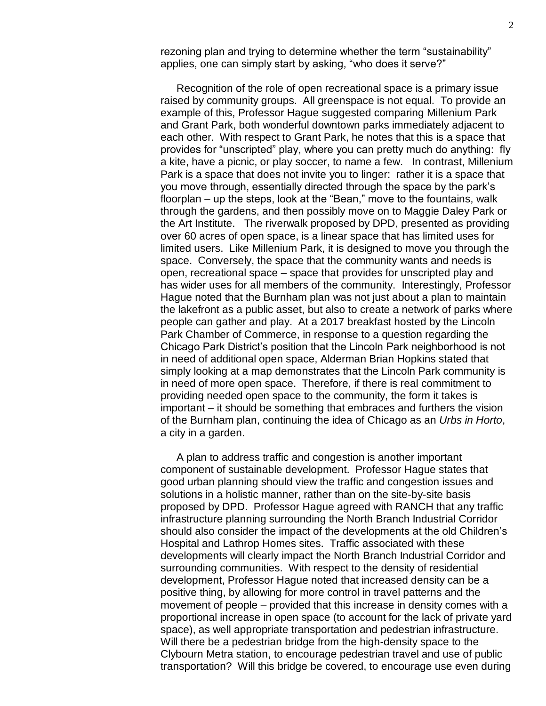rezoning plan and trying to determine whether the term "sustainability" applies, one can simply start by asking, "who does it serve?"

Recognition of the role of open recreational space is a primary issue raised by community groups. All greenspace is not equal. To provide an example of this, Professor Hague suggested comparing Millenium Park and Grant Park, both wonderful downtown parks immediately adjacent to each other. With respect to Grant Park, he notes that this is a space that provides for "unscripted" play, where you can pretty much do anything: fly a kite, have a picnic, or play soccer, to name a few. In contrast, Millenium Park is a space that does not invite you to linger: rather it is a space that you move through, essentially directed through the space by the park's floorplan – up the steps, look at the "Bean," move to the fountains, walk through the gardens, and then possibly move on to Maggie Daley Park or the Art Institute. The riverwalk proposed by DPD, presented as providing over 60 acres of open space, is a linear space that has limited uses for limited users. Like Millenium Park, it is designed to move you through the space. Conversely, the space that the community wants and needs is open, recreational space – space that provides for unscripted play and has wider uses for all members of the community. Interestingly, Professor Hague noted that the Burnham plan was not just about a plan to maintain the lakefront as a public asset, but also to create a network of parks where people can gather and play. At a 2017 breakfast hosted by the Lincoln Park Chamber of Commerce, in response to a question regarding the Chicago Park District's position that the Lincoln Park neighborhood is not in need of additional open space, Alderman Brian Hopkins stated that simply looking at a map demonstrates that the Lincoln Park community is in need of more open space. Therefore, if there is real commitment to providing needed open space to the community, the form it takes is important – it should be something that embraces and furthers the vision of the Burnham plan, continuing the idea of Chicago as an *Urbs in Horto*, a city in a garden.

A plan to address traffic and congestion is another important component of sustainable development. Professor Hague states that good urban planning should view the traffic and congestion issues and solutions in a holistic manner, rather than on the site-by-site basis proposed by DPD. Professor Hague agreed with RANCH that any traffic infrastructure planning surrounding the North Branch Industrial Corridor should also consider the impact of the developments at the old Children's Hospital and Lathrop Homes sites. Traffic associated with these developments will clearly impact the North Branch Industrial Corridor and surrounding communities. With respect to the density of residential development, Professor Hague noted that increased density can be a positive thing, by allowing for more control in travel patterns and the movement of people – provided that this increase in density comes with a proportional increase in open space (to account for the lack of private yard space), as well appropriate transportation and pedestrian infrastructure. Will there be a pedestrian bridge from the high-density space to the Clybourn Metra station, to encourage pedestrian travel and use of public transportation? Will this bridge be covered, to encourage use even during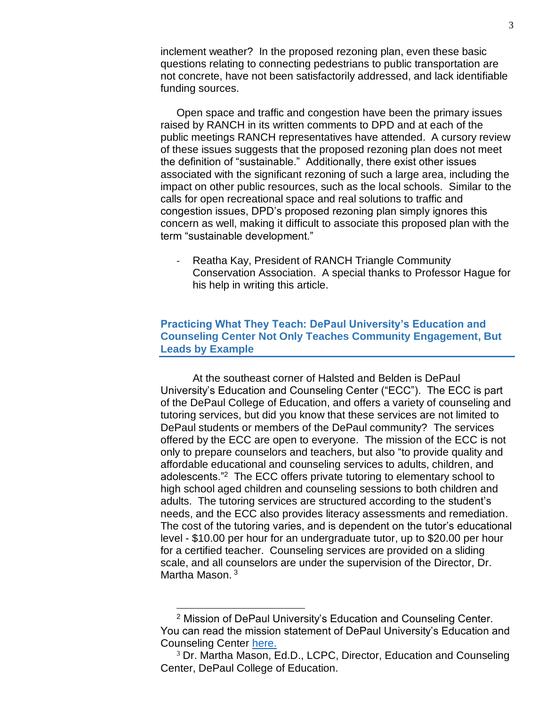inclement weather? In the proposed rezoning plan, even these basic questions relating to connecting pedestrians to public transportation are not concrete, have not been satisfactorily addressed, and lack identifiable funding sources.

Open space and traffic and congestion have been the primary issues raised by RANCH in its written comments to DPD and at each of the public meetings RANCH representatives have attended. A cursory review of these issues suggests that the proposed rezoning plan does not meet the definition of "sustainable." Additionally, there exist other issues associated with the significant rezoning of such a large area, including the impact on other public resources, such as the local schools. Similar to the calls for open recreational space and real solutions to traffic and congestion issues, DPD's proposed rezoning plan simply ignores this concern as well, making it difficult to associate this proposed plan with the term "sustainable development."

- Reatha Kay, President of RANCH Triangle Community Conservation Association. A special thanks to Professor Hague for his help in writing this article.

## **Practicing What They Teach: DePaul University's Education and Counseling Center Not Only Teaches Community Engagement, But Leads by Example**

At the southeast corner of Halsted and Belden is DePaul University's Education and Counseling Center ("ECC"). The ECC is part of the DePaul College of Education, and offers a variety of counseling and tutoring services, but did you know that these services are not limited to DePaul students or members of the DePaul community? The services offered by the ECC are open to everyone. The mission of the ECC is not only to prepare counselors and teachers, but also "to provide quality and affordable educational and counseling services to adults, children, and adolescents."<sup>2</sup> The ECC offers private tutoring to elementary school to high school aged children and counseling sessions to both children and adults. The tutoring services are structured according to the student's needs, and the ECC also provides literacy assessments and remediation. The cost of the tutoring varies, and is dependent on the tutor's educational level - \$10.00 per hour for an undergraduate tutor, up to \$20.00 per hour for a certified teacher. Counseling services are provided on a sliding scale, and all counselors are under the supervision of the Director, Dr. Martha Mason.<sup>3</sup>

l

<sup>2</sup> Mission of DePaul University's Education and Counseling Center. You can read the mission statement of DePaul University's Education and Counseling Center [here.](https://www.smore.com/b43g6-counseling-services)

 $3$  Dr. Martha Mason, Ed.D., LCPC, Director, Education and Counseling Center, DePaul College of Education.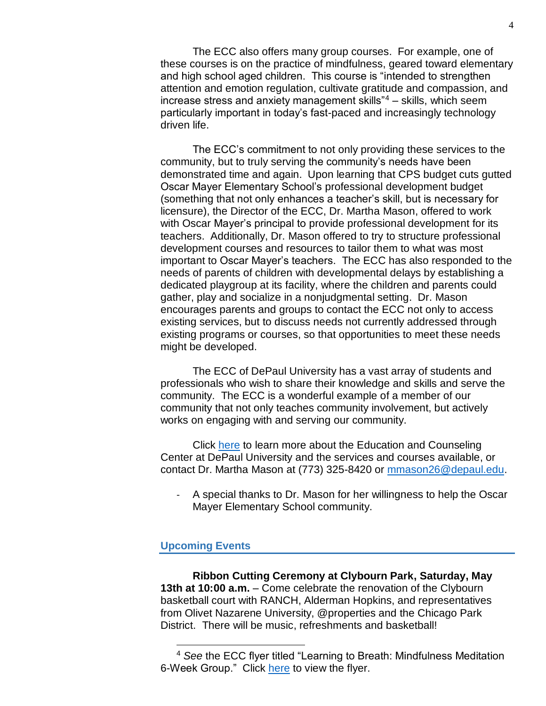The ECC also offers many group courses. For example, one of these courses is on the practice of mindfulness, geared toward elementary and high school aged children. This course is "intended to strengthen attention and emotion regulation, cultivate gratitude and compassion, and increase stress and anxiety management skills" $4 -$  skills, which seem particularly important in today's fast-paced and increasingly technology driven life.

The ECC's commitment to not only providing these services to the community, but to truly serving the community's needs have been demonstrated time and again. Upon learning that CPS budget cuts gutted Oscar Mayer Elementary School's professional development budget (something that not only enhances a teacher's skill, but is necessary for licensure), the Director of the ECC, Dr. Martha Mason, offered to work with Oscar Mayer's principal to provide professional development for its teachers. Additionally, Dr. Mason offered to try to structure professional development courses and resources to tailor them to what was most important to Oscar Mayer's teachers. The ECC has also responded to the needs of parents of children with developmental delays by establishing a dedicated playgroup at its facility, where the children and parents could gather, play and socialize in a nonjudgmental setting. Dr. Mason encourages parents and groups to contact the ECC not only to access existing services, but to discuss needs not currently addressed through existing programs or courses, so that opportunities to meet these needs might be developed.

The ECC of DePaul University has a vast array of students and professionals who wish to share their knowledge and skills and serve the community. The ECC is a wonderful example of a member of our community that not only teaches community involvement, but actively works on engaging with and serving our community.

Click [here](https://education.depaul.edu/about/centers-and-initiatives/Pages/educational-counseling-center.aspx) to learn more about the Education and Counseling Center at DePaul University and the services and courses available, or contact Dr. Martha Mason at (773) 325-8420 or [mmason26@depaul.edu.](mailto:mmason26@depaul.edu)

- A special thanks to Dr. Mason for her willingness to help the Oscar Mayer Elementary School community.

## **Upcoming Events**

 $\overline{a}$ 

**Ribbon Cutting Ceremony at Clybourn Park, Saturday, May 13th at 10:00 a.m.** – Come celebrate the renovation of the Clybourn basketball court with RANCH, Alderman Hopkins, and representatives from Olivet Nazarene University, @properties and the Chicago Park District. There will be music, refreshments and basketball!

<sup>4</sup> *See* the ECC flyer titled "Learning to Breath: Mindfulness Meditation 6-Week Group." Click [here](https://www.smore.com/ej077-learning-to-breathe?ref=my) to view the flyer.